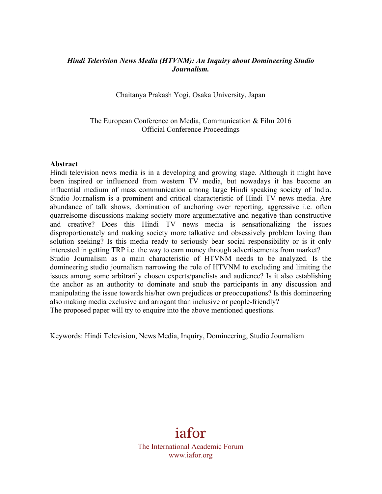## *Hindi Television News Media (HTVNM): An Inquiry about Domineering Studio Journalism.*

Chaitanya Prakash Yogi, Osaka University, Japan

The European Conference on Media, Communication & Film 2016 Official Conference Proceedings

#### **Abstract**

Hindi television news media is in a developing and growing stage. Although it might have been inspired or influenced from western TV media, but nowadays it has become an influential medium of mass communication among large Hindi speaking society of India. Studio Journalism is a prominent and critical characteristic of Hindi TV news media. Are abundance of talk shows, domination of anchoring over reporting, aggressive i.e. often quarrelsome discussions making society more argumentative and negative than constructive and creative? Does this Hindi TV news media is sensationalizing the issues disproportionately and making society more talkative and obsessively problem loving than solution seeking? Is this media ready to seriously bear social responsibility or is it only interested in getting TRP i.e. the way to earn money through advertisements from market? Studio Journalism as a main characteristic of HTVNM needs to be analyzed. Is the domineering studio journalism narrowing the role of HTVNM to excluding and limiting the issues among some arbitrarily chosen experts/panelists and audience? Is it also establishing the anchor as an authority to dominate and snub the participants in any discussion and manipulating the issue towards his/her own prejudices or preoccupations? Is this domineering also making media exclusive and arrogant than inclusive or people-friendly? The proposed paper will try to enquire into the above mentioned questions.

Keywords: Hindi Television, News Media, Inquiry, Domineering, Studio Journalism

iafor The International Academic Forum www.iafor.org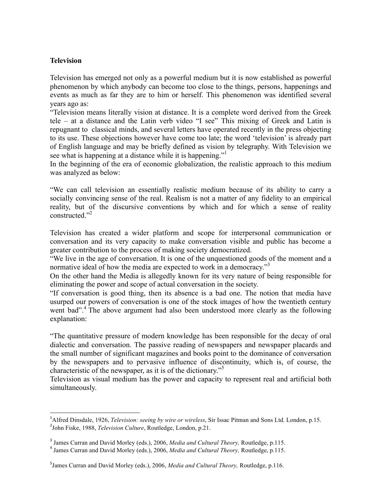## **Television**

Television has emerged not only as a powerful medium but it is now established as powerful phenomenon by which anybody can become too close to the things, persons, happenings and events as much as far they are to him or herself. This phenomenon was identified several years ago as:

"Television means literally vision at distance. It is a complete word derived from the Greek tele – at a distance and the Latin verb video "I see" This mixing of Greek and Latin is repugnant to classical minds, and several letters have operated recently in the press objecting to its use. These objections however have come too late; the word 'television' is already part of English language and may be briefly defined as vision by telegraphy. With Television we see what is happening at a distance while it is happening."

In the beginning of the era of economic globalization, the realistic approach to this medium was analyzed as below:

"We can call television an essentially realistic medium because of its ability to carry a socially convincing sense of the real. Realism is not a matter of any fidelity to an empirical reality, but of the discursive conventions by which and for which a sense of reality constructed<sup>"2</sup>

Television has created a wider platform and scope for interpersonal communication or conversation and its very capacity to make conversation visible and public has become a greater contribution to the process of making society democratized.

"We live in the age of conversation. It is one of the unquestioned goods of the moment and a normative ideal of how the media are expected to work in a democracy."<sup>3</sup>

On the other hand the Media is allegedly known for its very nature of being responsible for eliminating the power and scope of actual conversation in the society.

"If conversation is good thing, then its absence is a bad one. The notion that media have usurped our powers of conversation is one of the stock images of how the twentieth century went bad".<sup>4</sup> The above argument had also been understood more clearly as the following explanation:

"The quantitative pressure of modern knowledge has been responsible for the decay of oral dialectic and conversation. The passive reading of newspapers and newspaper placards and the small number of significant magazines and books point to the dominance of conversation by the newspapers and to pervasive influence of discontinuity, which is, of course, the characteristic of the newspaper, as it is of the dictionary."<sup>5</sup>

Television as visual medium has the power and capacity to represent real and artificial both simultaneously.

 

<sup>&</sup>lt;sup>1</sup>Alfred Dinsdale, 1926, *Television: seeing by wire or wireless*, Sir Issac Pitman and Sons Ltd. London, p.15. 2 John Fiske, 1988, *Television Culture*, Routledge, London, p.21.

<sup>&</sup>lt;sup>3</sup> James Curran and David Morley (eds.), 2006, *Media and Cultural Theory*, Routledge, p.115.<br><sup>4</sup> James Curran and David Morley (eds.), 2006, *Media and Cultural Theory*, Routledge, p.115.

<sup>5</sup> James Curran and David Morley (eds.), 2006, *Media and Cultural Theory,* Routledge, p.116.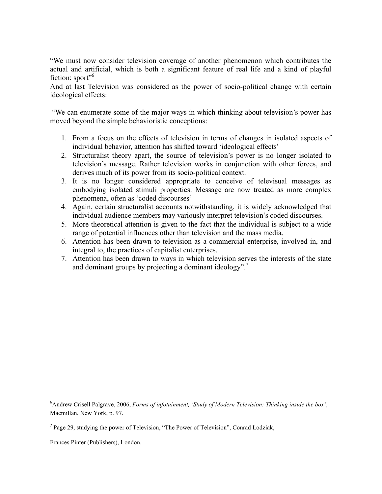"We must now consider television coverage of another phenomenon which contributes the actual and artificial, which is both a significant feature of real life and a kind of playful fiction: sport $"$ <sup>6</sup>

And at last Television was considered as the power of socio-political change with certain ideological effects:

"We can enumerate some of the major ways in which thinking about television's power has moved beyond the simple behavioristic conceptions:

- 1. From a focus on the effects of television in terms of changes in isolated aspects of individual behavior, attention has shifted toward 'ideological effects'
- 2. Structuralist theory apart, the source of television's power is no longer isolated to television's message. Rather television works in conjunction with other forces, and derives much of its power from its socio-political context.
- 3. It is no longer considered appropriate to conceive of televisual messages as embodying isolated stimuli properties. Message are now treated as more complex phenomena, often as 'coded discourses'
- 4. Again, certain structuralist accounts notwithstanding, it is widely acknowledged that individual audience members may variously interpret television's coded discourses.
- 5. More theoretical attention is given to the fact that the individual is subject to a wide range of potential influences other than television and the mass media.
- 6. Attention has been drawn to television as a commercial enterprise, involved in, and integral to, the practices of capitalist enterprises.
- 7. Attention has been drawn to ways in which television serves the interests of the state and dominant groups by projecting a dominant ideology".7

 

<sup>6</sup> Andrew Crisell Palgrave, 2006, *Forms of infotainment, 'Study of Modern Television: Thinking inside the box'*, Macmillan, New York, p. 97.

<sup>7</sup> Page 29, studying the power of Television, "The Power of Television", Conrad Lodziak,

Frances Pinter (Publishers), London.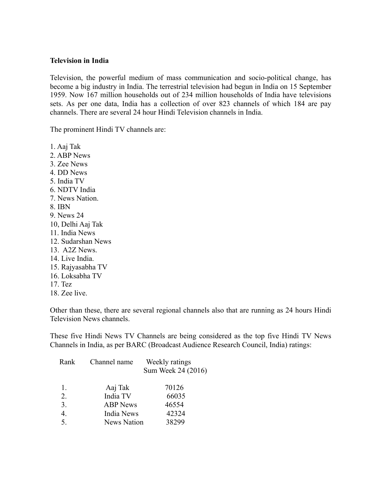#### **Television in India**

Television, the powerful medium of mass communication and socio-political change, has become a big industry in India. The terrestrial television had begun in India on 15 September 1959. Now 167 million households out of 234 million households of India have televisions sets. As per one data, India has a collection of over 823 channels of which 184 are pay channels. There are several 24 hour Hindi Television channels in India.

The prominent Hindi TV channels are:

1. Aaj Tak 2. ABP News 3. Zee News 4. DD News 5. India TV 6. NDTV India 7. News Nation. 8. IBN 9. News 24 10, Delhi Aaj Tak 11. India News 12. Sudarshan News 13. A2Z News. 14. Live India. 15. Rajyasabha TV 16. Loksabha TV 17. Tez 18. Zee live.

Other than these, there are several regional channels also that are running as 24 hours Hindi Television News channels.

These five Hindi News TV Channels are being considered as the top five Hindi TV News Channels in India, as per BARC (Broadcast Audience Research Council, India) ratings:

| Rank          | Channel name       | Weekly ratings     |
|---------------|--------------------|--------------------|
|               |                    | Sum Week 24 (2016) |
| 1.            | Aaj Tak            | 70126              |
| 2.            | India TV           | 66035              |
| 3.            | <b>ABP</b> News    | 46554              |
| 4.            | India News         | 42324              |
| $\mathcal{F}$ | <b>News Nation</b> | 38299              |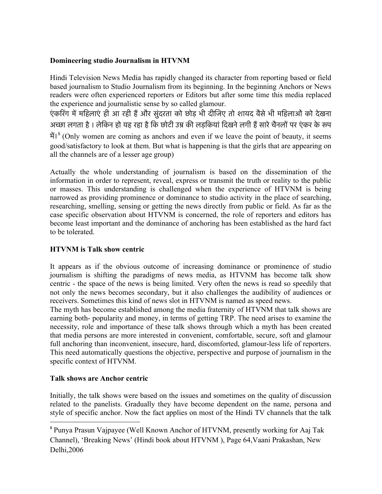# **Domineering studio Journalism in HTVNM**

Hindi Television News Media has rapidly changed its character from reporting based or field based journalism to Studio Journalism from its beginning. In the beginning Anchors or News readers were often experienced reporters or Editors but after some time this media replaced the experience and journalistic sense by so called glamour.

एंकरिंग में महिलाएं ही आ रही हैं और सुंदरता को छोड़ भी दीजिए तो शायद वैसे भी महिलाओं को देखना अच्छा लगता है। लेकिन हो यह रहा है कि छोटी उम्र की लड़कियां दिखने लगी हैं सारे चैनलों पर एंकर के रूप में।<sup>8</sup> (Only women are coming as anchors and even if we leave the point of beauty, it seems good/satisfactory to look at them. But what is happening is that the girls that are appearing on all the channels are of a lesser age group)

Actually the whole understanding of journalism is based on the dissemination of the information in order to represent, reveal, express or transmit the truth or reality to the public or masses. This understanding is challenged when the experience of HTVNM is being narrowed as providing prominence or dominance to studio activity in the place of searching, researching, smelling, sensing or getting the news directly from public or field. As far as the case specific observation about HTVNM is concerned, the role of reporters and editors has become least important and the dominance of anchoring has been established as the hard fact to be tolerated.

# **HTVNM is Talk show centric**

It appears as if the obvious outcome of increasing dominance or prominence of studio journalism is shifting the paradigms of news media, as HTVNM has become talk show centric - the space of the news is being limited. Very often the news is read so speedily that not only the news becomes secondary, but it also challenges the audibility of audiences or receivers. Sometimes this kind of news slot in HTVNM is named as speed news.

The myth has become established among the media fraternity of HTVNM that talk shows are earning both- popularity and money, in terms of getting TRP. The need arises to examine the necessity, role and importance of these talk shows through which a myth has been created that media persons are more interested in convenient, comfortable, secure, soft and glamour full anchoring than inconvenient, insecure, hard, discomforted, glamour-less life of reporters. This need automatically questions the objective, perspective and purpose of journalism in the specific context of HTVNM.

# **Talk shows are Anchor centric**

 

Initially, the talk shows were based on the issues and sometimes on the quality of discussion related to the panelists. Gradually they have become dependent on the name, persona and style of specific anchor. Now the fact applies on most of the Hindi TV channels that the talk

<sup>8</sup> Punya Prasun Vajpayee (Well Known Anchor of HTVNM, presently working for Aaj Tak Channel), 'Breaking News' (Hindi book about HTVNM ), Page 64,Vaani Prakashan, New Delhi,2006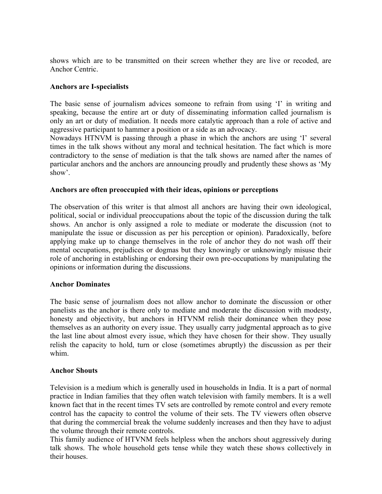shows which are to be transmitted on their screen whether they are live or recoded, are Anchor Centric.

## **Anchors are I-specialists**

The basic sense of journalism advices someone to refrain from using 'I' in writing and speaking, because the entire art or duty of disseminating information called journalism is only an art or duty of mediation. It needs more catalytic approach than a role of active and aggressive participant to hammer a position or a side as an advocacy.

Nowadays HTNVM is passing through a phase in which the anchors are using 'I' several times in the talk shows without any moral and technical hesitation. The fact which is more contradictory to the sense of mediation is that the talk shows are named after the names of particular anchors and the anchors are announcing proudly and prudently these shows as 'My show'.

### **Anchors are often preoccupied with their ideas, opinions or perceptions**

The observation of this writer is that almost all anchors are having their own ideological, political, social or individual preoccupations about the topic of the discussion during the talk shows. An anchor is only assigned a role to mediate or moderate the discussion (not to manipulate the issue or discussion as per his perception or opinion). Paradoxically, before applying make up to change themselves in the role of anchor they do not wash off their mental occupations, prejudices or dogmas but they knowingly or unknowingly misuse their role of anchoring in establishing or endorsing their own pre-occupations by manipulating the opinions or information during the discussions.

#### **Anchor Dominates**

The basic sense of journalism does not allow anchor to dominate the discussion or other panelists as the anchor is there only to mediate and moderate the discussion with modesty, honesty and objectivity, but anchors in HTVNM relish their dominance when they pose themselves as an authority on every issue. They usually carry judgmental approach as to give the last line about almost every issue, which they have chosen for their show. They usually relish the capacity to hold, turn or close (sometimes abruptly) the discussion as per their whim.

### **Anchor Shouts**

Television is a medium which is generally used in households in India. It is a part of normal practice in Indian families that they often watch television with family members. It is a well known fact that in the recent times TV sets are controlled by remote control and every remote control has the capacity to control the volume of their sets. The TV viewers often observe that during the commercial break the volume suddenly increases and then they have to adjust the volume through their remote controls.

This family audience of HTVNM feels helpless when the anchors shout aggressively during talk shows. The whole household gets tense while they watch these shows collectively in their houses.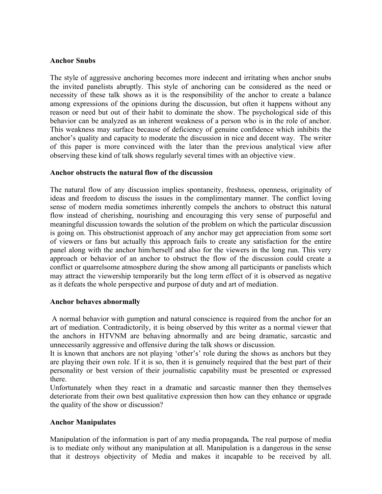### **Anchor Snubs**

The style of aggressive anchoring becomes more indecent and irritating when anchor snubs the invited panelists abruptly. This style of anchoring can be considered as the need or necessity of these talk shows as it is the responsibility of the anchor to create a balance among expressions of the opinions during the discussion, but often it happens without any reason or need but out of their habit to dominate the show. The psychological side of this behavior can be analyzed as an inherent weakness of a person who is in the role of anchor. This weakness may surface because of deficiency of genuine confidence which inhibits the anchor's quality and capacity to moderate the discussion in nice and decent way. The writer of this paper is more convinced with the later than the previous analytical view after observing these kind of talk shows regularly several times with an objective view.

## **Anchor obstructs the natural flow of the discussion**

The natural flow of any discussion implies spontaneity, freshness, openness, originality of ideas and freedom to discuss the issues in the complimentary manner. The conflict loving sense of modern media sometimes inherently compels the anchors to obstruct this natural flow instead of cherishing, nourishing and encouraging this very sense of purposeful and meaningful discussion towards the solution of the problem on which the particular discussion is going on. This obstructionist approach of any anchor may get appreciation from some sort of viewers or fans but actually this approach fails to create any satisfaction for the entire panel along with the anchor him/herself and also for the viewers in the long run. This very approach or behavior of an anchor to obstruct the flow of the discussion could create a conflict or quarrelsome atmosphere during the show among all participants or panelists which may attract the viewership temporarily but the long term effect of it is observed as negative as it defeats the whole perspective and purpose of duty and art of mediation.

## **Anchor behaves abnormally**

A normal behavior with gumption and natural conscience is required from the anchor for an art of mediation. Contradictorily, it is being observed by this writer as a normal viewer that the anchors in HTVNM are behaving abnormally and are being dramatic, sarcastic and unnecessarily aggressive and offensive during the talk shows or discussion.

It is known that anchors are not playing 'other's' role during the shows as anchors but they are playing their own role. If it is so, then it is genuinely required that the best part of their personality or best version of their journalistic capability must be presented or expressed there.

Unfortunately when they react in a dramatic and sarcastic manner then they themselves deteriorate from their own best qualitative expression then how can they enhance or upgrade the quality of the show or discussion?

## **Anchor Manipulates**

Manipulation of the information is part of any media propaganda*.* The real purpose of media is to mediate only without any manipulation at all. Manipulation is a dangerous in the sense that it destroys objectivity of Media and makes it incapable to be received by all.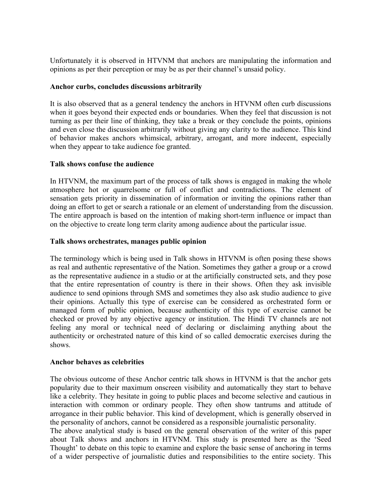Unfortunately it is observed in HTVNM that anchors are manipulating the information and opinions as per their perception or may be as per their channel's unsaid policy.

## **Anchor curbs, concludes discussions arbitrarily**

It is also observed that as a general tendency the anchors in HTVNM often curb discussions when it goes beyond their expected ends or boundaries. When they feel that discussion is not turning as per their line of thinking, they take a break or they conclude the points, opinions and even close the discussion arbitrarily without giving any clarity to the audience. This kind of behavior makes anchors whimsical, arbitrary, arrogant, and more indecent, especially when they appear to take audience foe granted.

## **Talk shows confuse the audience**

In HTVNM, the maximum part of the process of talk shows is engaged in making the whole atmosphere hot or quarrelsome or full of conflict and contradictions. The element of sensation gets priority in dissemination of information or inviting the opinions rather than doing an effort to get or search a rationale or an element of understanding from the discussion. The entire approach is based on the intention of making short-term influence or impact than on the objective to create long term clarity among audience about the particular issue.

## **Talk shows orchestrates, manages public opinion**

The terminology which is being used in Talk shows in HTVNM is often posing these shows as real and authentic representative of the Nation. Sometimes they gather a group or a crowd as the representative audience in a studio or at the artificially constructed sets, and they pose that the entire representation of country is there in their shows. Often they ask invisible audience to send opinions through SMS and sometimes they also ask studio audience to give their opinions. Actually this type of exercise can be considered as orchestrated form or managed form of public opinion, because authenticity of this type of exercise cannot be checked or proved by any objective agency or institution. The Hindi TV channels are not feeling any moral or technical need of declaring or disclaiming anything about the authenticity or orchestrated nature of this kind of so called democratic exercises during the shows.

## **Anchor behaves as celebrities**

The obvious outcome of these Anchor centric talk shows in HTVNM is that the anchor gets popularity due to their maximum onscreen visibility and automatically they start to behave like a celebrity. They hesitate in going to public places and become selective and cautious in interaction with common or ordinary people. They often show tantrums and attitude of arrogance in their public behavior. This kind of development, which is generally observed in the personality of anchors, cannot be considered as a responsible journalistic personality. The above analytical study is based on the general observation of the writer of this paper about Talk shows and anchors in HTVNM. This study is presented here as the 'Seed Thought' to debate on this topic to examine and explore the basic sense of anchoring in terms of a wider perspective of journalistic duties and responsibilities to the entire society. This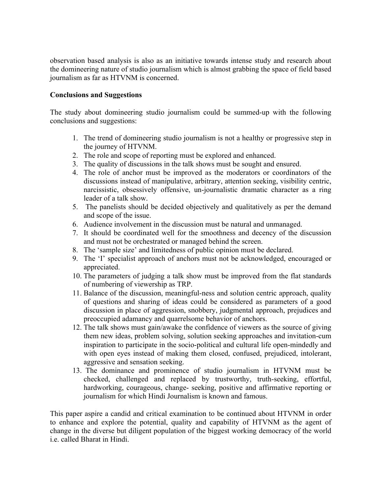observation based analysis is also as an initiative towards intense study and research about the domineering nature of studio journalism which is almost grabbing the space of field based journalism as far as HTVNM is concerned.

## **Conclusions and Suggestions**

The study about domineering studio journalism could be summed-up with the following conclusions and suggestions:

- 1. The trend of domineering studio journalism is not a healthy or progressive step in the journey of HTVNM.
- 2. The role and scope of reporting must be explored and enhanced.
- 3. The quality of discussions in the talk shows must be sought and ensured.
- 4. The role of anchor must be improved as the moderators or coordinators of the discussions instead of manipulative, arbitrary, attention seeking, visibility centric, narcissistic, obsessively offensive, un-journalistic dramatic character as a ring leader of a talk show.
- 5. The panelists should be decided objectively and qualitatively as per the demand and scope of the issue.
- 6. Audience involvement in the discussion must be natural and unmanaged.
- 7. It should be coordinated well for the smoothness and decency of the discussion and must not be orchestrated or managed behind the screen.
- 8. The 'sample size' and limitedness of public opinion must be declared.
- 9. The 'I' specialist approach of anchors must not be acknowledged, encouraged or appreciated.
- 10. The parameters of judging a talk show must be improved from the flat standards of numbering of viewership as TRP.
- 11. Balance of the discussion, meaningful-ness and solution centric approach, quality of questions and sharing of ideas could be considered as parameters of a good discussion in place of aggression, snobbery, judgmental approach, prejudices and preoccupied adamancy and quarrelsome behavior of anchors.
- 12. The talk shows must gain/awake the confidence of viewers as the source of giving them new ideas, problem solving, solution seeking approaches and invitation-cum inspiration to participate in the socio-political and cultural life open-mindedly and with open eyes instead of making them closed, confused, prejudiced, intolerant, aggressive and sensation seeking.
- 13. The dominance and prominence of studio journalism in HTVNM must be checked, challenged and replaced by trustworthy, truth-seeking, effortful, hardworking, courageous, change- seeking, positive and affirmative reporting or journalism for which Hindi Journalism is known and famous.

This paper aspire a candid and critical examination to be continued about HTVNM in order to enhance and explore the potential, quality and capability of HTVNM as the agent of change in the diverse but diligent population of the biggest working democracy of the world i.e. called Bharat in Hindi.